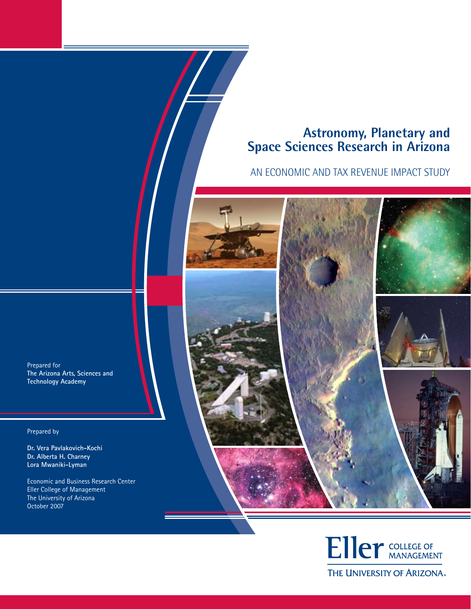# **Astronomy, Planetary and Space Sciences Research in Arizona**

# AN ECONOMIC AND TAX REVENUE IMPACT STUDY

Prepared for **The Arizona Arts, Sciences and Technology Academy**

Prepared by

**Dr. Vera Pavlakovich-Kochi Dr. Alberta H. Charney Lora Mwaniki-Lyman**

Economic and Business Research Center Eller College of Management The University of Arizona October 2007



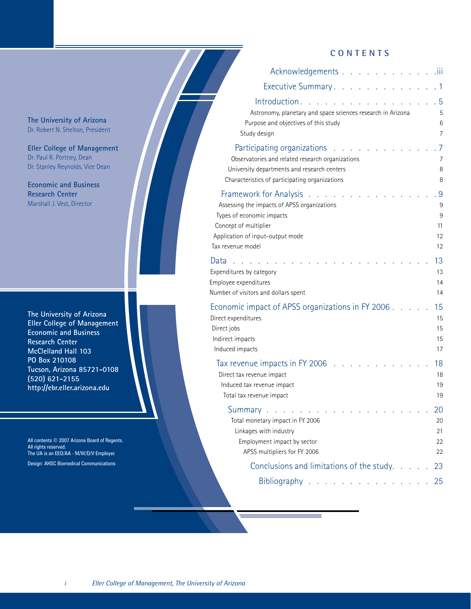### **CONTENTS**

| Acknowledgements                                                                                                                                                                      |  |  | .iii                          |
|---------------------------------------------------------------------------------------------------------------------------------------------------------------------------------------|--|--|-------------------------------|
| Executive Summary.                                                                                                                                                                    |  |  | $\overline{1}$                |
| Introduction.<br>Astronomy, planetary and space sciences research in Arizona<br>Purpose and objectives of this study<br>Study design                                                  |  |  | 5<br>5<br>6<br>7              |
| Participating organizations<br>Observatories and related research organizations<br>University departments and research centers<br>Characteristics of participating organizations      |  |  | 7<br>7<br>8<br>8              |
| Framework for Analysis.<br>Assessing the impacts of APSS organizations<br>Types of economic impacts<br>Concept of multiplier<br>Application of input-output mode<br>Tax revenue model |  |  | 9<br>9<br>9<br>11<br>12<br>12 |
| Data<br>Expenditures by category<br>Employee expenditures<br>Number of visitors and dollars spent                                                                                     |  |  | 13<br>13<br>14<br>14          |
| Economic impact of APSS organizations in FY 2006.<br>Direct expenditures<br>Direct jobs<br>Indirect impacts<br>Induced impacts                                                        |  |  | 15<br>15<br>15<br>15<br>17    |
| Tax revenue impacts in FY 2006<br>Direct tax revenue impact<br>Induced tax revenue impact<br>Total tax revenue impact                                                                 |  |  | 18<br>18<br>19<br>19          |
| $\sim 10^{-10}$ km $^{-1}$<br>Total monetary impact in FY 2006<br>Linkages with industry<br>Employment impact by sector<br>APSS multipliers for FY 2006                               |  |  | 20<br>20<br>21<br>22<br>22    |
| Conclusions and limitations of the study.                                                                                                                                             |  |  | 23                            |
| Bibliography $\ldots$ $\ldots$ $\ldots$ $\ldots$                                                                                                                                      |  |  | 25                            |

**The University of Arizona** Dr. Robert N. Shelton, President

**Eller College of Management** Dr. Paul R. Portney, Dean Dr. Stanley Reynolds, Vice Dean

**Economic and Business Research Center** Marshall J. Vest, Director

**The University of Arizona Eller College of Management Economic and Business Research Center McClelland Hall 103 PO Box 210108 Tucson, Arizona 85721-0108 (520) 621-2155 http://ebr.eller.arizona.edu**

All contents © 2007 Arizona Board of Regents. All rights reserved. The UA is an EEO/AA - M/W/D/V Employer. Design: AHSC Biomedical Communications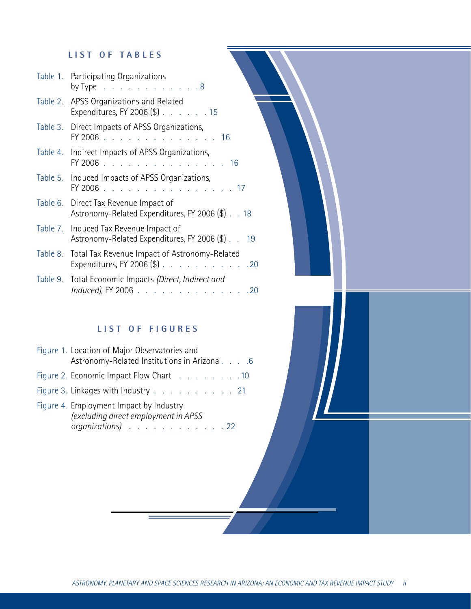# **L I S T O F T A B LES**

| Table 1. Participating Organizations<br>by Type $\ldots$ $\ldots$ $\ldots$ $\ldots$ $\ldots$ . 8 |
|--------------------------------------------------------------------------------------------------|
| Table 2. APSS Organizations and Related<br>Expenditures, FY 2006 (\$) 15                         |
| Table 3. Direct Impacts of APSS Organizations,<br>FY 2006 16                                     |
| Table 4. Indirect Impacts of APSS Organizations,<br>FY 2006 16                                   |
| Table 5. Induced Impacts of APSS Organizations,<br>FY 2006 17                                    |
| Table 6. Direct Tax Revenue Impact of<br>Astronomy-Related Expenditures, FY 2006 (\$) 18         |
| Table 7. Induced Tax Revenue Impact of<br>Astronomy-Related Expenditures, FY 2006 (\$) 19        |
| Table 8. Total Tax Revenue Impact of Astronomy-Related<br>Expenditures, FY 2006 $(\$)$ . 20      |
| Table 9. Total Economic Impacts (Direct, Indirect and<br>Induced), FY 2006 20                    |

# **L I S T O F F IGU RES**

| Figure 1. Location of Major Observatories and<br>Astronomy-Related Institutions in Arizona 6         |
|------------------------------------------------------------------------------------------------------|
| Figure 2. Economic Impact Flow Chart 10                                                              |
| Figure 3. Linkages with Industry 21                                                                  |
| Figure 4. Employment Impact by Industry<br>(excluding direct employment in APSS<br>organizations) 22 |

Ŀ,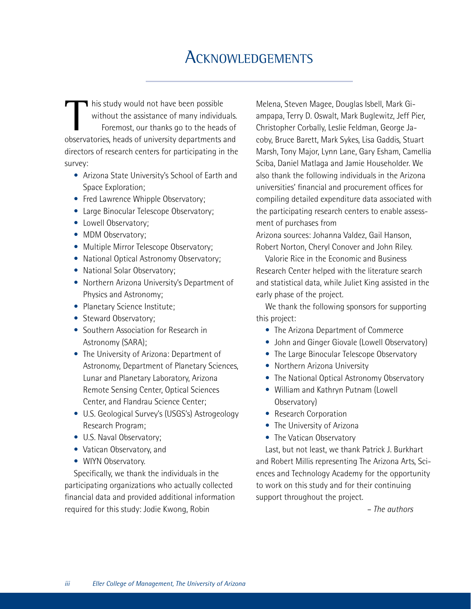# **ACKNOWLEDGEMENTS**

I his study would not have been possible without the assistance of many individuals. Foremost, our thanks go to the heads of observatories, heads of university departments and directors of research centers for participating in the survey:

- Arizona State University's School of Earth and Space Exploration;
- Fred Lawrence Whipple Observatory;
- Large Binocular Telescope Observatory;
- Lowell Observatory;
- MDM Observatory;
- Multiple Mirror Telescope Observatory;
- National Optical Astronomy Observatory;
- National Solar Observatory;
- Northern Arizona University's Department of Physics and Astronomy;
- Planetary Science Institute;
- Steward Observatory:
- Southern Association for Research in Astronomy (SARA);
- The University of Arizona: Department of Astronomy, Department of Planetary Sciences, Lunar and Planetary Laboratory, Arizona Remote Sensing Center, Optical Sciences Center, and Flandrau Science Center;
- U.S. Geological Survey's (USGS's) Astrogeology Research Program;
- U.S. Naval Observatory;
- Vatican Observatory, and
- WIYN Observatory.

Specifically, we thank the individuals in the participating organizations who actually collected financial data and provided additional information required for this study: Jodie Kwong, Robin

Melena, Steven Magee, Douglas Isbell, Mark Giampapa, Terry D. Oswalt, Mark Buglewitz, Jeff Pier, Christopher Corbally, Leslie Feldman, George Jacoby, Bruce Barett, Mark Sykes, Lisa Gaddis, Stuart Marsh, Tony Major, Lynn Lane, Gary Esham, Camellia Sciba, Daniel Matlaga and Jamie Householder. We also thank the following individuals in the Arizona universities' financial and procurement offices for compiling detailed expenditure data associated with the participating research centers to enable assessment of purchases from

Arizona sources: Johanna Valdez, Gail Hanson, Robert Norton, Cheryl Conover and John Riley.

Valorie Rice in the Economic and Business Research Center helped with the literature search and statistical data, while Juliet King assisted in the early phase of the project.

We thank the following sponsors for supporting this project:

- The Arizona Department of Commerce
- John and Ginger Giovale (Lowell Observatory)
- The Large Binocular Telescope Observatory
- Northern Arizona University
- The National Optical Astronomy Observatory
- William and Kathryn Putnam (Lowell Observatory)
- Research Corporation
- The University of Arizona
- The Vatican Observatory

Last, but not least, we thank Patrick J. Burkhart and Robert Millis representing The Arizona Arts, Sciences and Technology Academy for the opportunity to work on this study and for their continuing support throughout the project.

 *– The authors*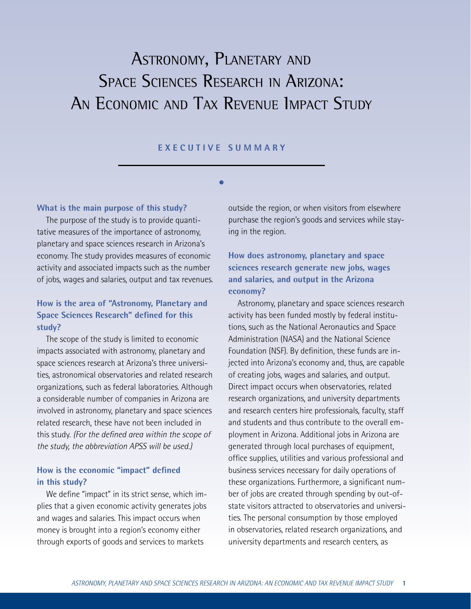# ASTRONOMY, PLANETARY AND SPACE SCIENCES RESEARCH IN ARIZONA: AN ECONOMIC AND TAX REVENUE IMPACT STUDY

#### **E X E C U T I V E SUMM A R Y**

**s**

#### **What is the main purpose of this study?**

The purpose of the study is to provide quantitative measures of the importance of astronomy, planetary and space sciences research in Arizona's economy. The study provides measures of economic activity and associated impacts such as the number of jobs, wages and salaries, output and tax revenues.

# **How is the area of "Astronomy, Planetary and Space Sciences Research" defined for this study?**

The scope of the study is limited to economic impacts associated with astronomy, planetary and space sciences research at Arizona's three universities, astronomical observatories and related research organizations, such as federal laboratories. Although a considerable number of companies in Arizona are involved in astronomy, planetary and space sciences related research, these have not been included in this study. *(For the defined area within the scope of the study, the abbreviation APSS will be used.)*

### **How is the economic "impact" defined in this study?**

We define "impact" in its strict sense, which implies that a given economic activity generates jobs and wages and salaries. This impact occurs when money is brought into a region's economy either through exports of goods and services to markets

outside the region, or when visitors from elsewhere purchase the region's goods and services while staying in the region.

# **How does astronomy, planetary and space sciences research generate new jobs, wages and salaries, and output in the Arizona economy?**

Astronomy, planetary and space sciences research activity has been funded mostly by federal institutions, such as the National Aeronautics and Space Administration (NASA) and the National Science Foundation (NSF). By definition, these funds are injected into Arizona's economy and, thus, are capable of creating jobs, wages and salaries, and output. Direct impact occurs when observatories, related research organizations, and university departments and research centers hire professionals, faculty, staff and students and thus contribute to the overall employment in Arizona. Additional jobs in Arizona are generated through local purchases of equipment, office supplies, utilities and various professional and business services necessary for daily operations of these organizations. Furthermore, a significant number of jobs are created through spending by out-ofstate visitors attracted to observatories and universities. The personal consumption by those employed in observatories, related research organizations, and university departments and research centers, as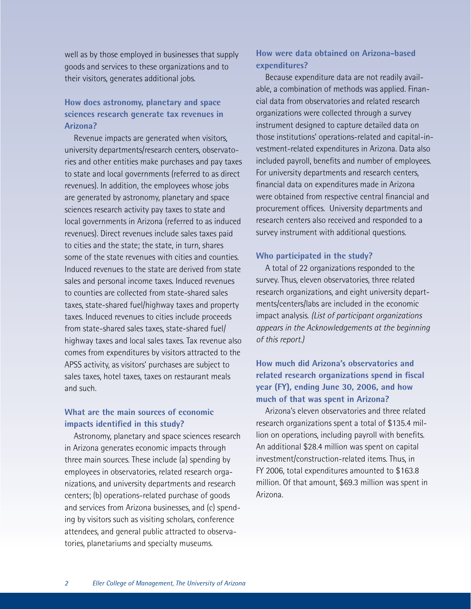well as by those employed in businesses that supply goods and services to these organizations and to their visitors, generates additional jobs.

# **How does astronomy, planetary and space sciences research generate tax revenues in Arizona?**

Revenue impacts are generated when visitors, university departments/research centers, observatories and other entities make purchases and pay taxes to state and local governments (referred to as direct revenues). In addition, the employees whose jobs are generated by astronomy, planetary and space sciences research activity pay taxes to state and local governments in Arizona (referred to as induced revenues). Direct revenues include sales taxes paid to cities and the state; the state, in turn, shares some of the state revenues with cities and counties. Induced revenues to the state are derived from state sales and personal income taxes. Induced revenues to counties are collected from state-shared sales taxes, state-shared fuel/highway taxes and property taxes. Induced revenues to cities include proceeds from state-shared sales taxes, state-shared fuel/ highway taxes and local sales taxes. Tax revenue also comes from expenditures by visitors attracted to the APSS activity, as visitors' purchases are subject to sales taxes, hotel taxes, taxes on restaurant meals and such.

## **What are the main sources of economic impacts identified in this study?**

Astronomy, planetary and space sciences research in Arizona generates economic impacts through three main sources. These include (a) spending by employees in observatories, related research organizations, and university departments and research centers; (b) operations-related purchase of goods and services from Arizona businesses, and (c) spending by visitors such as visiting scholars, conference attendees, and general public attracted to observatories, planetariums and specialty museums.

# **How were data obtained on Arizona-based expenditures?**

Because expenditure data are not readily available, a combination of methods was applied. Financial data from observatories and related research organizations were collected through a survey instrument designed to capture detailed data on those institutions' operations-related and capital-investment-related expenditures in Arizona. Data also included payroll, benefits and number of employees. For university departments and research centers, financial data on expenditures made in Arizona were obtained from respective central financial and procurement offices. University departments and research centers also received and responded to a survey instrument with additional questions.

#### **Who participated in the study?**

A total of 22 organizations responded to the survey. Thus, eleven observatories, three related research organizations, and eight university departments/centers/labs are included in the economic impact analysis. *(List of participant organizations appears in the Acknowledgements at the beginning of this report.)*

# **How much did Arizona's observatories and related research organizations spend in fiscal year (FY), ending June 30, 2006, and how much of that was spent in Arizona?**

Arizona's eleven observatories and three related research organizations spent a total of \$135.4 million on operations, including payroll with benefits. An additional \$28.4 million was spent on capital investment/construction-related items. Thus, in FY 2006, total expenditures amounted to \$163.8 million. Of that amount, \$69.3 million was spent in Arizona.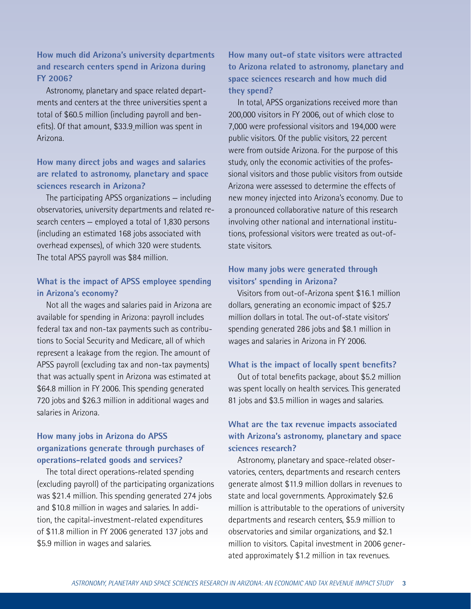# **How much did Arizona's university departments and research centers spend in Arizona during FY 2006?**

Astronomy, planetary and space related departments and centers at the three universities spent a total of \$60.5 million (including payroll and benefits). Of that amount, \$33.9 million was spent in Arizona.

## **How many direct jobs and wages and salaries are related to astronomy, planetary and space sciences research in Arizona?**

The participating APSS organizations — including observatories, university departments and related research centers — employed a total of 1,830 persons (including an estimated 168 jobs associated with overhead expenses), of which 320 were students. The total APSS payroll was \$84 million.

## **What is the impact of APSS employee spending in Arizona's economy?**

Not all the wages and salaries paid in Arizona are available for spending in Arizona: payroll includes federal tax and non-tax payments such as contributions to Social Security and Medicare, all of which represent a leakage from the region. The amount of APSS payroll (excluding tax and non-tax payments) that was actually spent in Arizona was estimated at \$64.8 million in FY 2006. This spending generated 720 jobs and \$26.3 million in additional wages and salaries in Arizona.

# **How many jobs in Arizona do APSS organizations generate through purchases of operations-related goods and services?**

The total direct operations-related spending (excluding payroll) of the participating organizations was \$21.4 million. This spending generated 274 jobs and \$10.8 million in wages and salaries. In addition, the capital-investment-related expenditures of \$11.8 million in FY 2006 generated 137 jobs and \$5.9 million in wages and salaries.

**How many out-of state visitors were attracted to Arizona related to astronomy, planetary and space sciences research and how much did they spend?**

In total, APSS organizations received more than 200,000 visitors in FY 2006, out of which close to 7,000 were professional visitors and 194,000 were public visitors. Of the public visitors, 22 percent were from outside Arizona. For the purpose of this study, only the economic activities of the professional visitors and those public visitors from outside Arizona were assessed to determine the effects of new money injected into Arizona's economy. Due to a pronounced collaborative nature of this research involving other national and international institutions, professional visitors were treated as out-ofstate visitors.

# **How many jobs were generated through visitors' spending in Arizona?**

Visitors from out-of-Arizona spent \$16.1 million dollars, generating an economic impact of \$25.7 million dollars in total. The out-of-state visitors' spending generated 286 jobs and \$8.1 million in wages and salaries in Arizona in FY 2006.

### **What is the impact of locally spent benefits?**

Out of total benefits package, about \$5.2 million was spent locally on health services. This generated 81 jobs and \$3.5 million in wages and salaries.

# **What are the tax revenue impacts associated with Arizona's astronomy, planetary and space sciences research?**

Astronomy, planetary and space-related observatories, centers, departments and research centers generate almost \$11.9 million dollars in revenues to state and local governments. Approximately \$2.6 million is attributable to the operations of university departments and research centers, \$5.9 million to observatories and similar organizations, and \$2.1 million to visitors. Capital investment in 2006 generated approximately \$1.2 million in tax revenues.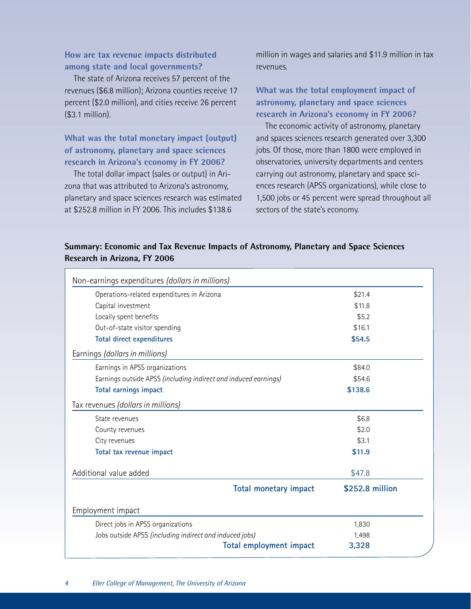# **How are tax revenue impacts distributed among state and local governments?**

The state of Arizona receives 57 percent of the revenues (\$6.8 million); Arizona counties receive 17 percent (\$2.0 million), and cities receive 26 percent (\$3.1 million).

# **What was the total monetary impact (output) of astronomy, planetary and space sciences research in Arizona's economy in FY 2006?**

The total dollar impact (sales or output) in Arizona that was attributed to Arizona's astronomy, planetary and space sciences research was estimated at \$252.8 million in FY 2006. This includes \$138.6

million in wages and salaries and \$11.9 million in tax revenues.

**What was the total employment impact of astronomy, planetary and space sciences research in Arizona's economy in FY 2006?**

The economic activity of astronomy, planetary and spaces sciences research generated over 3,300 jobs. Of those, more than 1800 were employed in observatories, university departments and centers carrying out astronomy, planetary and space sciences research (APSS organizations), while close to 1,500 jobs or 45 percent were spread throughout all sectors of the state's economy.

# **Summary: Economic and Tax Revenue Impacts of Astronomy, Planetary and Space Sciences Research in Arizona, FY 2006**

| Operations-related expenditures in Arizona                      | \$21.4          |
|-----------------------------------------------------------------|-----------------|
| Capital investment                                              | \$11.8          |
| Locally spent benefits                                          | \$5.2           |
| Out-of-state visitor spending                                   | \$16.1          |
| <b>Total direct expenditures</b>                                | \$54.5          |
| Earnings (dollars in millions)                                  |                 |
| Earnings in APSS organizations                                  | \$84.0          |
| Earnings outside APSS (including indirect and induced earnings) | \$54.6          |
| <b>Total earnings impact</b>                                    | \$138.6         |
| Tax revenues (dollars in millions)                              |                 |
| State revenues                                                  | \$6.8           |
| County revenues                                                 | \$2.0           |
| City revenues                                                   | \$3.1           |
| Total tax revenue impact                                        | \$11.9          |
| Additional value added                                          | \$47.8          |
| <b>Total monetary impact</b>                                    | \$252.8 million |
| Employment impact                                               |                 |
| Direct jobs in APSS organizations                               | 1,830           |
| Jobs outside APSS (including indirect and induced jobs)         | 1,498           |
| Total employment impact                                         | 3,328           |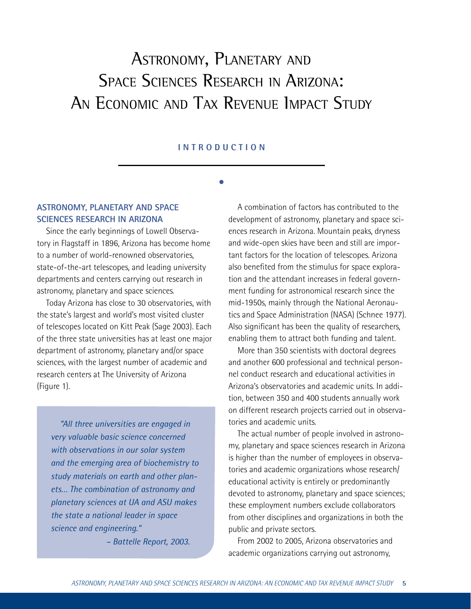# ASTRONOMY, PLANETARY AND SPACE SCIENCES RESEARCH IN ARIZONA: AN ECONOMIC AND TAX REVENUE IMPACT STUDY

#### **I NTRO D U C T I O N**

**s**

## **ASTRONOMY, PLANETARY AND SPACE SCIENCES RESEARCH IN ARIZONA**

Since the early beginnings of Lowell Observatory in Flagstaff in 1896, Arizona has become home to a number of world-renowned observatories, state-of-the-art telescopes, and leading university departments and centers carrying out research in astronomy, planetary and space sciences.

Today Arizona has close to 30 observatories, with the state's largest and world's most visited cluster of telescopes located on Kitt Peak (Sage 2003). Each of the three state universities has at least one major department of astronomy, planetary and/or space sciences, with the largest number of academic and research centers at The University of Arizona (Figure 1).

*"All three universities are engaged in very valuable basic science concerned with observations in our solar system and the emerging area of biochemistry to study materials on earth and other planets… The combination of astronomy and planetary sciences at UA and ASU makes the state a national leader in space science and engineering."*

 *– Battelle Report, 2003.* 

A combination of factors has contributed to the development of astronomy, planetary and space sciences research in Arizona. Mountain peaks, dryness and wide-open skies have been and still are important factors for the location of telescopes. Arizona also benefited from the stimulus for space exploration and the attendant increases in federal government funding for astronomical research since the mid-1950s, mainly through the National Aeronautics and Space Administration (NASA) (Schnee 1977). Also significant has been the quality of researchers, enabling them to attract both funding and talent.

More than 350 scientists with doctoral degrees and another 600 professional and technical personnel conduct research and educational activities in Arizona's observatories and academic units. In addition, between 350 and 400 students annually work on different research projects carried out in observatories and academic units.

The actual number of people involved in astronomy, planetary and space sciences research in Arizona is higher than the number of employees in observatories and academic organizations whose research/ educational activity is entirely or predominantly devoted to astronomy, planetary and space sciences; these employment numbers exclude collaborators from other disciplines and organizations in both the public and private sectors.

From 2002 to 2005, Arizona observatories and academic organizations carrying out astronomy,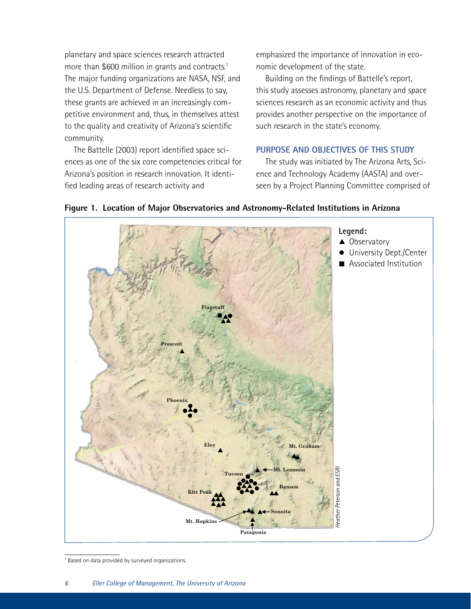planetary and space sciences research attracted more than \$600 million in grants and contracts.<sup>1</sup> The major funding organizations are NASA, NSF, and the U.S. Department of Defense. Needless to say, these grants are achieved in an increasingly competitive environment and, thus, in themselves attest to the quality and creativity of Arizona's scientific community.

The Battelle (2003) report identified space sciences as one of the six core competencies critical for Arizona's position in research innovation. It identified leading areas of research activity and

emphasized the importance of innovation in economic development of the state.

Building on the findings of Battelle's report, this study assesses astronomy, planetary and space sciences research as an economic activity and thus provides another perspective on the importance of such research in the state's economy.

### **PURPOSE AND OBJECTIVES OF THIS STUDY**

The study was initiated by The Arizona Arts, Science and Technology Academy (AASTA) and overseen by a Project Planning Committee comprised of



**in Arizona** 

**Figure 1. Location of Major Observatories and Astronomy-Related Institutions in Arizona**

University Dept./Center

L.

<sup>1</sup> Based on data provided by surveyed organizations.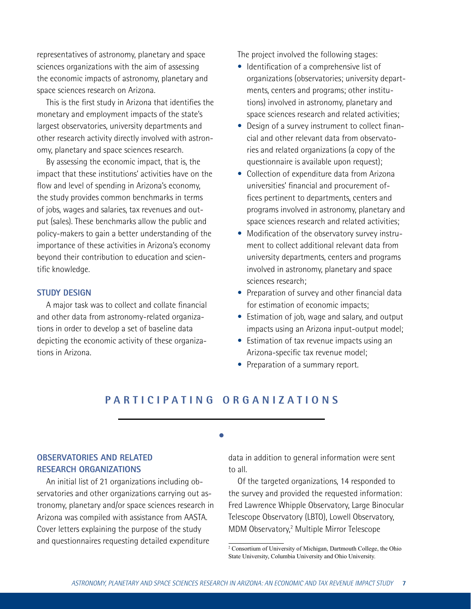representatives of astronomy, planetary and space sciences organizations with the aim of assessing the economic impacts of astronomy, planetary and space sciences research on Arizona.

This is the first study in Arizona that identifies the monetary and employment impacts of the state's largest observatories, university departments and other research activity directly involved with astronomy, planetary and space sciences research.

By assessing the economic impact, that is, the impact that these institutions' activities have on the flow and level of spending in Arizona's economy, the study provides common benchmarks in terms of jobs, wages and salaries, tax revenues and output (sales). These benchmarks allow the public and policy-makers to gain a better understanding of the importance of these activities in Arizona's economy beyond their contribution to education and scientific knowledge.

#### **STUDY DESIGN**

A major task was to collect and collate financial and other data from astronomy-related organizations in order to develop a set of baseline data depicting the economic activity of these organizations in Arizona.

The project involved the following stages:

- Identification of a comprehensive list of organizations (observatories; university departments, centers and programs; other institutions) involved in astronomy, planetary and space sciences research and related activities;
- Design of a survey instrument to collect financial and other relevant data from observatories and related organizations (a copy of the questionnaire is available upon request);
- Collection of expenditure data from Arizona universities' financial and procurement offices pertinent to departments, centers and programs involved in astronomy, planetary and space sciences research and related activities;
- Modification of the observatory survey instrument to collect additional relevant data from university departments, centers and programs involved in astronomy, planetary and space sciences research;
- Preparation of survey and other financial data for estimation of economic impacts;
- Estimation of job, wage and salary, and output impacts using an Arizona input-output model;
- Estimation of tax revenue impacts using an Arizona-specific tax revenue model;
- Preparation of a summary report.

# **P ART I C I PAT I N G O R G A N I Z A T I ONS**

**s**

## **OBSERVATORIES AND RELATED RESEARCH ORGANIZATIONS**

An initial list of 21 organizations including observatories and other organizations carrying out astronomy, planetary and/or space sciences research in Arizona was compiled with assistance from AASTA. Cover letters explaining the purpose of the study and questionnaires requesting detailed expenditure

data in addition to general information were sent to all.

Of the targeted organizations, 14 responded to the survey and provided the requested information: Fred Lawrence Whipple Observatory, Large Binocular Telescope Observatory (LBTO), Lowell Observatory, MDM Observatory,2 Multiple Mirror Telescope

<sup>2</sup> Consortium of University of Michigan, Dartmouth College, the Ohio State University, Columbia University and Ohio University.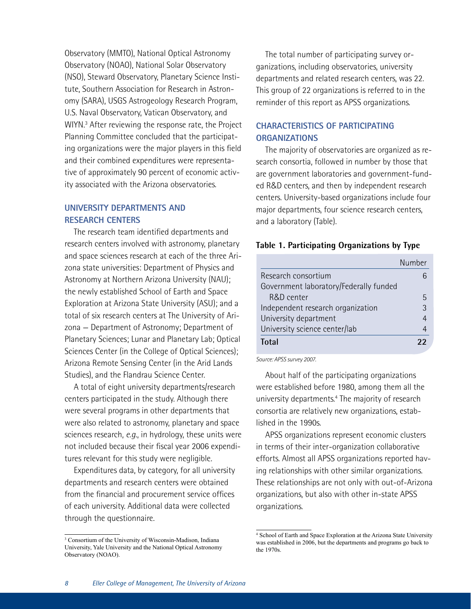Observatory (MMTO), National Optical Astronomy Observatory (NOAO), National Solar Observatory (NSO), Steward Observatory, Planetary Science Institute, Southern Association for Research in Astronomy (SARA), USGS Astrogeology Research Program, U.S. Naval Observatory, Vatican Observatory, and WIYN.<sup>3</sup> After reviewing the response rate, the Project Planning Committee concluded that the participating organizations were the major players in this field and their combined expenditures were representative of approximately 90 percent of economic activity associated with the Arizona observatories.

## **UNIVERSITY DEPARTMENTS AND RESEARCH CENTERS**

The research team identified departments and research centers involved with astronomy, planetary and space sciences research at each of the three Arizona state universities: Department of Physics and Astronomy at Northern Arizona University (NAU); the newly established School of Earth and Space Exploration at Arizona State University (ASU); and a total of six research centers at The University of Arizona — Department of Astronomy; Department of Planetary Sciences; Lunar and Planetary Lab; Optical Sciences Center (in the College of Optical Sciences); Arizona Remote Sensing Center (in the Arid Lands Studies), and the Flandrau Science Center.

A total of eight university departments/research centers participated in the study. Although there were several programs in other departments that were also related to astronomy, planetary and space sciences research, *e.g.*, in hydrology, these units were not included because their fiscal year 2006 expenditures relevant for this study were negligible.

Expenditures data, by category, for all university departments and research centers were obtained from the financial and procurement service offices of each university. Additional data were collected through the questionnaire.

The total number of participating survey organizations, including observatories, university departments and related research centers, was 22. This group of 22 organizations is referred to in the reminder of this report as APSS organizations.

## **CHARACTERISTICS OF PARTICIPATING ORGANIZATIONS**

The majority of observatories are organized as research consortia, followed in number by those that are government laboratories and government-funded R&D centers, and then by independent research centers. University-based organizations include four major departments, four science research centers, and a laboratory (Table).

#### **Table 1. Participating Organizations by Type**

|                                        | Number |
|----------------------------------------|--------|
| Research consortium                    |        |
| Government laboratory/Federally funded |        |
| R&D center                             | 5      |
| Independent research organization      | 3      |
| University department                  | 4      |
| University science center/lab          |        |
| <b>Total</b>                           | 22     |

*Source: APSS survey 2007.* 

About half of the participating organizations were established before 1980, among them all the university departments.<sup>4</sup> The majority of research consortia are relatively new organizations, established in the 1990s.

APSS organizations represent economic clusters in terms of their inter-organization collaborative efforts. Almost all APSS organizations reported having relationships with other similar organizations. These relationships are not only with out-of-Arizona organizations, but also with other in-state APSS organizations.

<sup>3</sup> Consortium of the University of Wisconsin-Madison, Indiana University, Yale University and the National Optical Astronomy Observatory (NOAO).

<sup>4</sup> School of Earth and Space Exploration at the Arizona State University was established in 2006, but the departments and programs go back to the 1970s.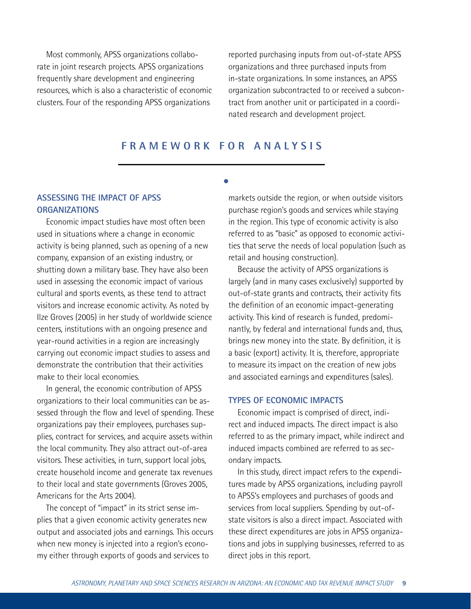Most commonly, APSS organizations collaborate in joint research projects. APSS organizations frequently share development and engineering resources, which is also a characteristic of economic clusters. Four of the responding APSS organizations

reported purchasing inputs from out-of-state APSS organizations and three purchased inputs from in-state organizations. In some instances, an APSS organization subcontracted to or received a subcontract from another unit or participated in a coordinated research and development project.

# **FRA M EWOR K F O R ANAL Y S I S**

**s**

### **ASSESSING THE IMPACT OF APSS ORGANIZATIONS**

Economic impact studies have most often been used in situations where a change in economic activity is being planned, such as opening of a new company, expansion of an existing industry, or shutting down a military base. They have also been used in assessing the economic impact of various cultural and sports events, as these tend to attract visitors and increase economic activity. As noted by Ilze Groves (2005) in her study of worldwide science centers, institutions with an ongoing presence and year-round activities in a region are increasingly carrying out economic impact studies to assess and demonstrate the contribution that their activities make to their local economies.

In general, the economic contribution of APSS organizations to their local communities can be assessed through the flow and level of spending. These organizations pay their employees, purchases supplies, contract for services, and acquire assets within the local community. They also attract out-of-area visitors. These activities, in turn, support local jobs, create household income and generate tax revenues to their local and state governments (Groves 2005, Americans for the Arts 2004).

The concept of "impact" in its strict sense implies that a given economic activity generates new output and associated jobs and earnings. This occurs when new money is injected into a region's economy either through exports of goods and services to

markets outside the region, or when outside visitors purchase region's goods and services while staying in the region. This type of economic activity is also referred to as "basic" as opposed to economic activities that serve the needs of local population (such as retail and housing construction).

Because the activity of APSS organizations is largely (and in many cases exclusively) supported by out-of-state grants and contracts, their activity fits the definition of an economic impact-generating activity. This kind of research is funded, predominantly, by federal and international funds and, thus, brings new money into the state. By definition, it is a basic (export) activity. It is, therefore, appropriate to measure its impact on the creation of new jobs and associated earnings and expenditures (sales).

#### **TYPES OF ECONOMIC IMPACTS**

Economic impact is comprised of direct, indirect and induced impacts. The direct impact is also referred to as the primary impact, while indirect and induced impacts combined are referred to as secondary impacts.

In this study, direct impact refers to the expenditures made by APSS organizations, including payroll to APSS's employees and purchases of goods and services from local suppliers. Spending by out-ofstate visitors is also a direct impact. Associated with these direct expenditures are jobs in APSS organizations and jobs in supplying businesses, referred to as direct jobs in this report.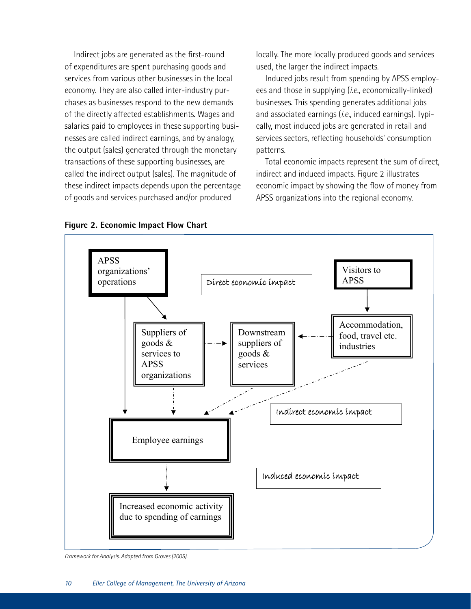Indirect jobs are generated as the first-round of expenditures are spent purchasing goods and services from various other businesses in the local economy. They are also called inter-industry purchases as businesses respond to the new demands of the directly affected establishments. Wages and salaries paid to employees in these supporting businesses are called indirect earnings, and by analogy, the output (sales) generated through the monetary transactions of these supporting businesses, are called the indirect output (sales). The magnitude of these indirect impacts depends upon the percentage of goods and services purchased and/or produced

locally. The more locally produced goods and services used, the larger the indirect impacts.

Induced jobs result from spending by APSS employees and those in supplying (*i.e.*, economically-linked) businesses. This spending generates additional jobs and associated earnings (*i.e.*, induced earnings). Typically, most induced jobs are generated in retail and services sectors, reflecting households' consumption patterns.

Total economic impacts represent the sum of direct, indirect and induced impacts. Figure 2 illustrates economic impact by showing the flow of money from APSS organizations into the regional economy.



**Figure 2. Economic Impact Flow Chart** 

*Framework for Analysis. Adapted from Groves (2005).*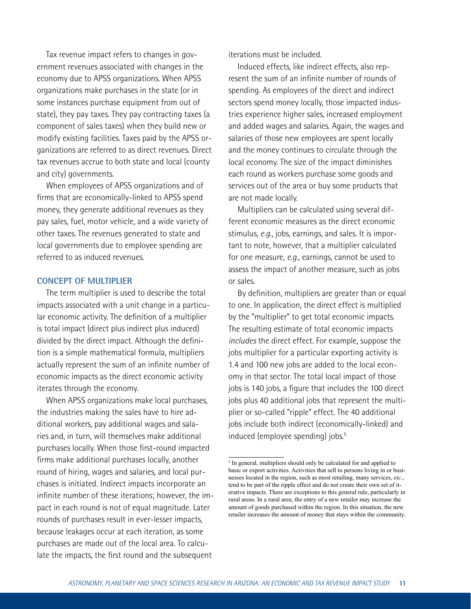Tax revenue impact refers to changes in government revenues associated with changes in the economy due to APSS organizations. When APSS organizations make purchases in the state (or in some instances purchase equipment from out of state), they pay taxes. They pay contracting taxes (a component of sales taxes) when they build new or modify existing facilities. Taxes paid by the APSS organizations are referred to as direct revenues. Direct tax revenues accrue to both state and local (county and city) governments.

When employees of APSS organizations and of firms that are economically-linked to APSS spend money, they generate additional revenues as they pay sales, fuel, motor vehicle, and a wide variety of other taxes. The revenues generated to state and local governments due to employee spending are referred to as induced revenues.

#### **CONCEPT OF MULTIPLIER**

The term multiplier is used to describe the total impacts associated with a unit change in a particular economic activity. The definition of a multiplier is total impact (direct plus indirect plus induced) divided by the direct impact. Although the definition is a simple mathematical formula, multipliers actually represent the sum of an infinite number of economic impacts as the direct economic activity iterates through the economy.

When APSS organizations make local purchases, the industries making the sales have to hire additional workers, pay additional wages and salaries and, in turn, will themselves make additional purchases locally. When those first-round impacted firms make additional purchases locally, another round of hiring, wages and salaries, and local purchases is initiated. Indirect impacts incorporate an infinite number of these iterations; however, the impact in each round is not of equal magnitude. Later rounds of purchases result in ever-lesser impacts, because leakages occur at each iteration, as some purchases are made out of the local area. To calculate the impacts, the first round and the subsequent

iterations must be included.

Induced effects, like indirect effects, also represent the sum of an infinite number of rounds of spending. As employees of the direct and indirect sectors spend money locally, those impacted industries experience higher sales, increased employment and added wages and salaries. Again, the wages and salaries of those new employees are spent locally and the money continues to circulate through the local economy. The size of the impact diminishes each round as workers purchase some goods and services out of the area or buy some products that are not made locally.

Multipliers can be calculated using several different economic measures as the direct economic stimulus, *e.g.*, jobs, earnings, and sales. It is important to note, however, that a multiplier calculated for one measure, *e.g.*, earnings, cannot be used to assess the impact of another measure, such as jobs or sales.

By definition, multipliers are greater than or equal to one. In application, the direct effect is multiplied by the "multiplier" to get total economic impacts. The resulting estimate of total economic impacts *includes* the direct effect. For example, suppose the jobs multiplier for a particular exporting activity is 1.4 and 100 new jobs are added to the local economy in that sector. The total local impact of those jobs is 140 jobs, a figure that includes the 100 direct jobs plus 40 additional jobs that represent the multiplier or so-called "ripple" effect. The 40 additional jobs include both indirect (economically-linked) and induced (employee spending) jobs.<sup>5</sup>

<sup>&</sup>lt;sup>5</sup> In general, multipliers should only be calculated for and applied to basic or export activities. Activities that sell to persons living in or businesses located in the region, such as most retailing, many services, *etc*., tend to be part of the ripple effect and do not create their own set of iterative impacts. There are exceptions to this general rule, particularly in rural areas. In a rural area, the entry of a new retailer may increase the amount of goods purchased within the region. In this situation, the new retailer increases the amount of money that stays within the community.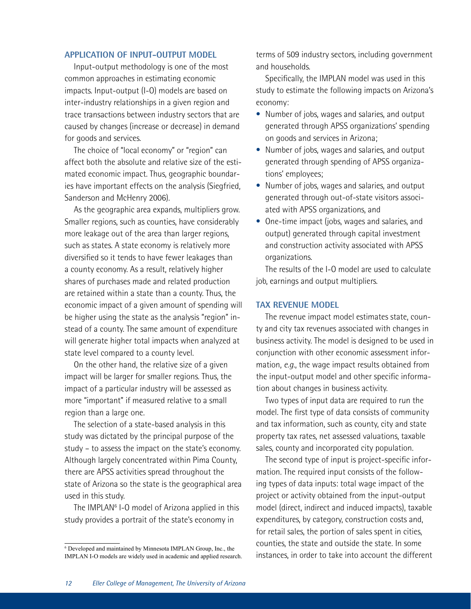#### **APPLICATION OF INPUT-OUTPUT MODEL**

Input-output methodology is one of the most common approaches in estimating economic impacts. Input-output (I-O) models are based on inter-industry relationships in a given region and trace transactions between industry sectors that are caused by changes (increase or decrease) in demand for goods and services.

The choice of "local economy" or "region" can affect both the absolute and relative size of the estimated economic impact. Thus, geographic boundaries have important effects on the analysis (Siegfried, Sanderson and McHenry 2006).

As the geographic area expands, multipliers grow. Smaller regions, such as counties, have considerably more leakage out of the area than larger regions, such as states. A state economy is relatively more diversified so it tends to have fewer leakages than a county economy. As a result, relatively higher shares of purchases made and related production are retained within a state than a county. Thus, the economic impact of a given amount of spending will be higher using the state as the analysis "region" instead of a county. The same amount of expenditure will generate higher total impacts when analyzed at state level compared to a county level.

On the other hand, the relative size of a given impact will be larger for smaller regions. Thus, the impact of a particular industry will be assessed as more "important" if measured relative to a small region than a large one.

The selection of a state-based analysis in this study was dictated by the principal purpose of the study – to assess the impact on the state's economy. Although largely concentrated within Pima County, there are APSS activities spread throughout the state of Arizona so the state is the geographical area used in this study.

The IMPLAN<sup>6</sup> I-O model of Arizona applied in this study provides a portrait of the state's economy in

terms of 509 industry sectors, including government and households.

Specifically, the IMPLAN model was used in this study to estimate the following impacts on Arizona's economy:

- Number of jobs, wages and salaries, and output generated through APSS organizations' spending on goods and services in Arizona;
- Number of jobs, wages and salaries, and output generated through spending of APSS organizations' employees;
- Number of jobs, wages and salaries, and output generated through out-of-state visitors associated with APSS organizations, and
- One-time impact (jobs, wages and salaries, and output) generated through capital investment and construction activity associated with APSS organizations.

The results of the I-O model are used to calculate job, earnings and output multipliers.

#### **TAX REVENUE MODEL**

The revenue impact model estimates state, county and city tax revenues associated with changes in business activity. The model is designed to be used in conjunction with other economic assessment information, *e.g.*, the wage impact results obtained from the input-output model and other specific information about changes in business activity.

Two types of input data are required to run the model. The first type of data consists of community and tax information, such as county, city and state property tax rates, net assessed valuations, taxable sales, county and incorporated city population.

The second type of input is project-specific information. The required input consists of the following types of data inputs: total wage impact of the project or activity obtained from the input-output model (direct, indirect and induced impacts), taxable expenditures, by category, construction costs and, for retail sales, the portion of sales spent in cities, counties, the state and outside the state. In some instances, in order to take into account the different

<sup>6</sup> Developed and maintained by Minnesota IMPLAN Group, Inc., the IMPLAN I-O models are widely used in academic and applied research.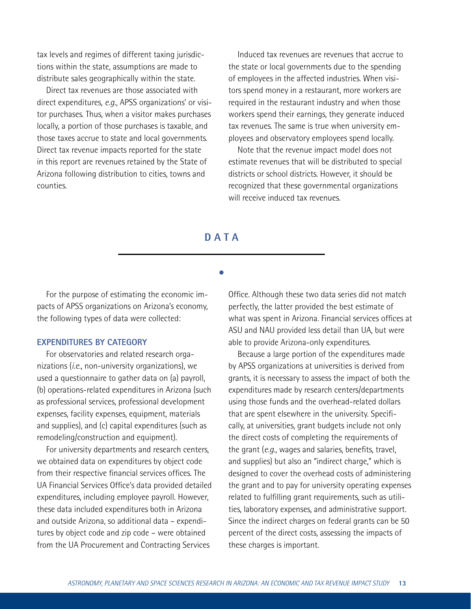tax levels and regimes of different taxing jurisdictions within the state, assumptions are made to distribute sales geographically within the state.

Direct tax revenues are those associated with direct expenditures, *e.g.*, APSS organizations' or visitor purchases. Thus, when a visitor makes purchases locally, a portion of those purchases is taxable, and those taxes accrue to state and local governments. Direct tax revenue impacts reported for the state in this report are revenues retained by the State of Arizona following distribution to cities, towns and counties.

Induced tax revenues are revenues that accrue to the state or local governments due to the spending of employees in the affected industries. When visitors spend money in a restaurant, more workers are required in the restaurant industry and when those workers spend their earnings, they generate induced tax revenues. The same is true when university employees and observatory employees spend locally.

Note that the revenue impact model does not estimate revenues that will be distributed to special districts or school districts. However, it should be recognized that these governmental organizations will receive induced tax revenues.

# **DATA**

**s**

For the purpose of estimating the economic impacts of APSS organizations on Arizona's economy, the following types of data were collected:

#### **EXPENDITURES BY CATEGORY**

For observatories and related research organizations (*i.e.*, non-university organizations), we used a questionnaire to gather data on (a) payroll, (b) operations-related expenditures in Arizona (such as professional services, professional development expenses, facility expenses, equipment, materials and supplies), and (c) capital expenditures (such as remodeling/construction and equipment).

For university departments and research centers, we obtained data on expenditures by object code from their respective financial services offices. The UA Financial Services Office's data provided detailed expenditures, including employee payroll. However, these data included expenditures both in Arizona and outside Arizona, so additional data – expenditures by object code and zip code – were obtained from the UA Procurement and Contracting Services

Office. Although these two data series did not match perfectly, the latter provided the best estimate of what was spent in Arizona. Financial services offices at ASU and NAU provided less detail than UA, but were able to provide Arizona-only expenditures.

Because a large portion of the expenditures made by APSS organizations at universities is derived from grants, it is necessary to assess the impact of both the expenditures made by research centers/departments using those funds and the overhead-related dollars that are spent elsewhere in the university. Specifically, at universities, grant budgets include not only the direct costs of completing the requirements of the grant (*e.g.*, wages and salaries, benefits, travel, and supplies) but also an "indirect charge," which is designed to cover the overhead costs of administering the grant and to pay for university operating expenses related to fulfilling grant requirements, such as utilities, laboratory expenses, and administrative support. Since the indirect charges on federal grants can be 50 percent of the direct costs, assessing the impacts of these charges is important.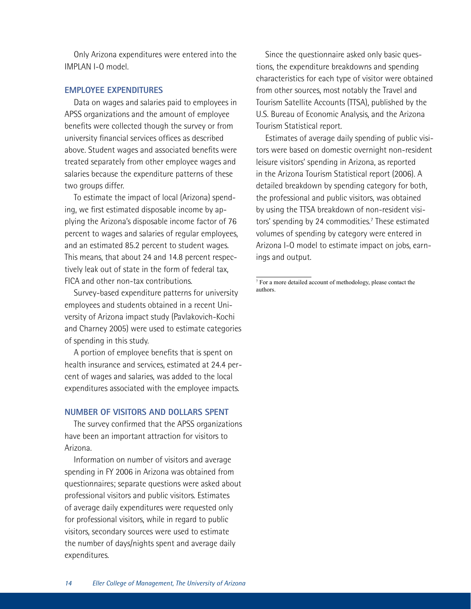Only Arizona expenditures were entered into the IMPLAN I-O model.

#### **EMPLOYEE EXPENDITURES**

Data on wages and salaries paid to employees in APSS organizations and the amount of employee benefits were collected though the survey or from university financial services offices as described above. Student wages and associated benefits were treated separately from other employee wages and salaries because the expenditure patterns of these two groups differ.

To estimate the impact of local (Arizona) spending, we first estimated disposable income by applying the Arizona's disposable income factor of 76 percent to wages and salaries of regular employees, and an estimated 85.2 percent to student wages. This means, that about 24 and 14.8 percent respectively leak out of state in the form of federal tax, FICA and other non-tax contributions.

Survey-based expenditure patterns for university employees and students obtained in a recent University of Arizona impact study (Pavlakovich-Kochi and Charney 2005) were used to estimate categories of spending in this study.

A portion of employee benefits that is spent on health insurance and services, estimated at 24.4 percent of wages and salaries, was added to the local expenditures associated with the employee impacts.

#### **NUMBER OF VISITORS AND DOLLARS SPENT**

The survey confirmed that the APSS organizations have been an important attraction for visitors to Arizona.

Information on number of visitors and average spending in FY 2006 in Arizona was obtained from questionnaires; separate questions were asked about professional visitors and public visitors. Estimates of average daily expenditures were requested only for professional visitors, while in regard to public visitors, secondary sources were used to estimate the number of days/nights spent and average daily expenditures.

Since the questionnaire asked only basic questions, the expenditure breakdowns and spending characteristics for each type of visitor were obtained from other sources, most notably the Travel and Tourism Satellite Accounts (TTSA), published by the U.S. Bureau of Economic Analysis, and the Arizona Tourism Statistical report.

Estimates of average daily spending of public visitors were based on domestic overnight non-resident leisure visitors' spending in Arizona, as reported in the Arizona Tourism Statistical report (2006). A detailed breakdown by spending category for both, the professional and public visitors, was obtained by using the TTSA breakdown of non-resident visitors' spending by 24 commodities.<sup>7</sup> These estimated volumes of spending by category were entered in Arizona I-O model to estimate impact on jobs, earnings and output.

7 For a more detailed account of methodology, please contact the authors.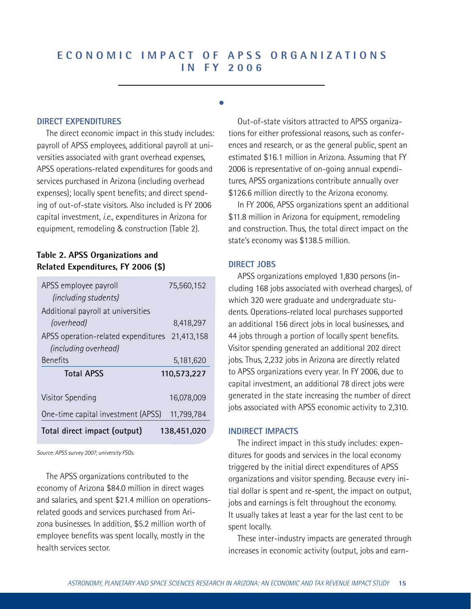# **E CONO M I C IM PACT O F APSS O R G A N I Z A T I ONS I N F Y 2006**

**s**

#### **DIRECT EXPENDITURES**

The direct economic impact in this study includes: payroll of APSS employees, additional payroll at universities associated with grant overhead expenses, APSS operations-related expenditures for goods and services purchased in Arizona (including overhead expenses); locally spent benefits; and direct spending of out-of-state visitors. Also included is FY 2006 capital investment, *i.e.*, expenditures in Arizona for equipment, remodeling & construction (Table 2).

# **Table 2. APSS Organizations and Related Expenditures, FY 2006 (\$)**

| APSS employee payroll                          | 75,560,152  |
|------------------------------------------------|-------------|
| (including students)                           |             |
| Additional payroll at universities             |             |
| (overhead)                                     | 8,418,297   |
| APSS operation-related expenditures 21,413,158 |             |
| (including overhead)                           |             |
| <b>Benefits</b>                                | 5,181,620   |
|                                                |             |
| <b>Total APSS</b>                              | 110,573,227 |
|                                                |             |
| Visitor Spending                               | 16,078,009  |
| One-time capital investment (APSS)             | 11,799,784  |

*Source: APSS survey 2007; university FSOs.*

The APSS organizations contributed to the economy of Arizona \$84.0 million in direct wages and salaries, and spent \$21.4 million on operationsrelated goods and services purchased from Arizona businesses. In addition, \$5.2 million worth of employee benefits was spent locally, mostly in the health services sector.

Out-of-state visitors attracted to APSS organizations for either professional reasons, such as conferences and research, or as the general public, spent an estimated \$16.1 million in Arizona. Assuming that FY 2006 is representative of on-going annual expenditures, APSS organizations contribute annually over \$126.6 million directly to the Arizona economy.

In FY 2006, APSS organizations spent an additional \$11.8 million in Arizona for equipment, remodeling and construction. Thus, the total direct impact on the state's economy was \$138.5 million.

#### **DIRECT JOBS**

APSS organizations employed 1,830 persons (including 168 jobs associated with overhead charges), of which 320 were graduate and undergraduate students. Operations-related local purchases supported an additional 156 direct jobs in local businesses, and 44 jobs through a portion of locally spent benefits. Visitor spending generated an additional 202 direct jobs. Thus, 2,232 jobs in Arizona are directly related to APSS organizations every year. In FY 2006, due to capital investment, an additional 78 direct jobs were generated in the state increasing the number of direct jobs associated with APSS economic activity to 2,310.

### **INDIRECT IMPACTS**

The indirect impact in this study includes: expenditures for goods and services in the local economy triggered by the initial direct expenditures of APSS organizations and visitor spending. Because every initial dollar is spent and re-spent, the impact on output, jobs and earnings is felt throughout the economy. It usually takes at least a year for the last cent to be spent locally.

These inter-industry impacts are generated through increases in economic activity (output, jobs and earn-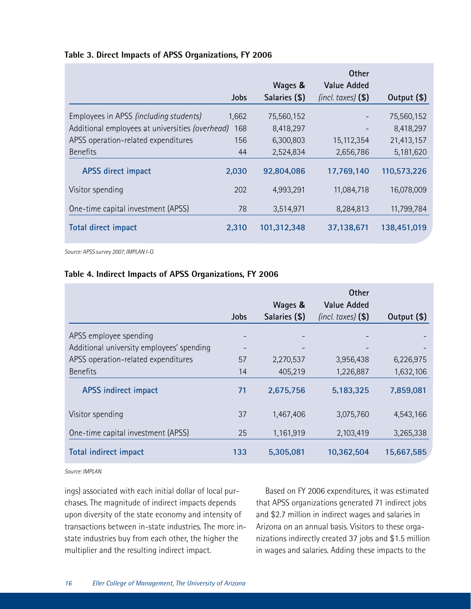|  |  |  |  |  |  | Table 3. Direct Impacts of APSS Organizations, FY 2006 |  |  |
|--|--|--|--|--|--|--------------------------------------------------------|--|--|
|--|--|--|--|--|--|--------------------------------------------------------|--|--|

|                                                 |       |               | <b>Other</b>           |             |
|-------------------------------------------------|-------|---------------|------------------------|-------------|
|                                                 |       | Wages &       | <b>Value Added</b>     |             |
|                                                 | Jobs  | Salaries (\$) | $(incl. taxes)$ $(\$)$ | Output (\$) |
| Employees in APSS (including students)          | 1,662 | 75,560,152    |                        | 75,560,152  |
| Additional employees at universities (overhead) | 168   | 8,418,297     |                        | 8,418,297   |
| APSS operation-related expenditures             | 156   | 6,300,803     | 15,112,354             | 21,413,157  |
| <b>Benefits</b>                                 | 44    | 2,524,834     | 2,656,786              | 5,181,620   |
| <b>APSS direct impact</b>                       | 2,030 | 92,804,086    | 17,769,140             | 110,573,226 |
| Visitor spending                                | 202   | 4,993,291     | 11,084,718             | 16,078,009  |
| One-time capital investment (APSS)              | 78    | 3,514,971     | 8,284,813              | 11,799,784  |
| Total direct impact                             | 2,310 | 101,312,348   | 37,138,671             | 138,451,019 |

*Source: APSS survey 2007; IMPLAN I-O.*

### **Table 4. Indirect Impacts of APSS Organizations, FY 2006**

|                                           |      |                          | <b>Other</b>                                 |             |
|-------------------------------------------|------|--------------------------|----------------------------------------------|-------------|
|                                           | Jobs | Wages &<br>Salaries (\$) | <b>Value Added</b><br>$(incl.$ taxes $)$ $)$ | Output (\$) |
| APSS employee spending                    |      |                          |                                              |             |
| Additional university employees' spending |      |                          |                                              |             |
| APSS operation-related expenditures       | 57   | 2,270,537                | 3,956,438                                    | 6,226,975   |
| <b>Benefits</b>                           | 14   | 405,219                  | 1,226,887                                    | 1,632,106   |
| <b>APSS indirect impact</b>               | 71   | 2,675,756                | 5,183,325                                    | 7,859,081   |
| Visitor spending                          | 37   | 1,467,406                | 3,075,760                                    | 4,543,166   |
| One-time capital investment (APSS)        | 25   | 1,161,919                | 2,103,419                                    | 3,265,338   |
| <b>Total indirect impact</b>              | 133  | 5,305,081                | 10,362,504                                   | 15,667,585  |

*Source: IMPLAN.*

ings) associated with each initial dollar of local purchases. The magnitude of indirect impacts depends upon diversity of the state economy and intensity of transactions between in-state industries. The more instate industries buy from each other, the higher the multiplier and the resulting indirect impact.

Based on FY 2006 expenditures, it was estimated that APSS organizations generated 71 indirect jobs and \$2.7 million in indirect wages and salaries in Arizona on an annual basis. Visitors to these organizations indirectly created 37 jobs and \$1.5 million in wages and salaries. Adding these impacts to the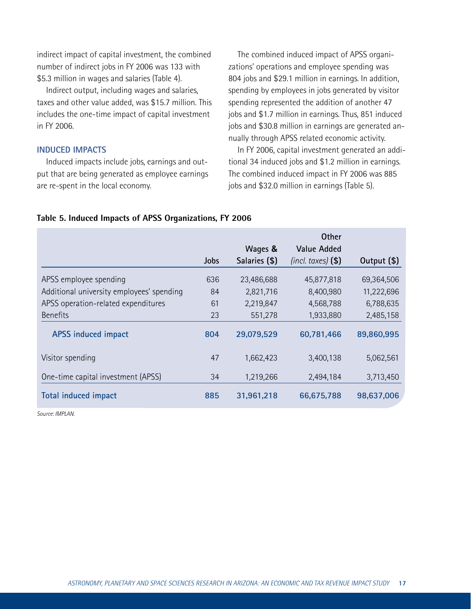indirect impact of capital investment, the combined number of indirect jobs in FY 2006 was 133 with \$5.3 million in wages and salaries (Table 4).

Indirect output, including wages and salaries, taxes and other value added, was \$15.7 million. This includes the one-time impact of capital investment in FY 2006.

#### **INDUCED IMPACTS**

Induced impacts include jobs, earnings and output that are being generated as employee earnings are re-spent in the local economy.

The combined induced impact of APSS organizations' operations and employee spending was 804 jobs and \$29.1 million in earnings. In addition, spending by employees in jobs generated by visitor spending represented the addition of another 47 jobs and \$1.7 million in earnings. Thus, 851 induced jobs and \$30.8 million in earnings are generated annually through APSS related economic activity.

In FY 2006, capital investment generated an additional 34 induced jobs and \$1.2 million in earnings. The combined induced impact in FY 2006 was 885 jobs and \$32.0 million in earnings (Table 5).

#### **Table 5. Induced Impacts of APSS Organizations, FY 2006**

|                                           |      | Wages &       | <b>Other</b><br><b>Value Added</b> |               |
|-------------------------------------------|------|---------------|------------------------------------|---------------|
|                                           | Jobs | Salaries (\$) | $(incl. taxes)$ $(\$)$             | Output $(\$)$ |
| APSS employee spending                    | 636  | 23,486,688    | 45,877,818                         | 69,364,506    |
| Additional university employees' spending | 84   | 2,821,716     | 8,400,980                          | 11,222,696    |
| APSS operation-related expenditures       | 61   | 2,219,847     | 4,568,788                          | 6,788,635     |
| <b>Benefits</b>                           | 23   | 551,278       | 1,933,880                          | 2,485,158     |
| <b>APSS induced impact</b>                | 804  | 29,079,529    | 60,781,466                         | 89,860,995    |
| Visitor spending                          | 47   | 1,662,423     | 3,400,138                          | 5,062,561     |
| One-time capital investment (APSS)        | 34   | 1,219,266     | 2,494,184                          | 3,713,450     |
| <b>Total induced impact</b>               | 885  | 31,961,218    | 66,675,788                         | 98,637,006    |

*Source: IMPLAN.*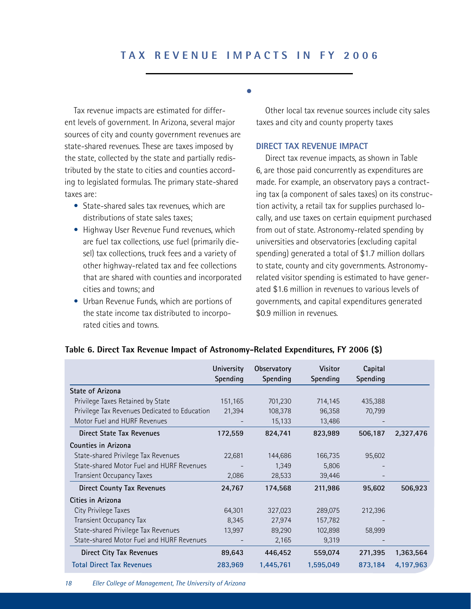# **T A X R E V E N U E IM PACTS I N F Y 2006**

**s**

Tax revenue impacts are estimated for different levels of government. In Arizona, several major sources of city and county government revenues are state-shared revenues. These are taxes imposed by the state, collected by the state and partially redistributed by the state to cities and counties according to legislated formulas. The primary state-shared taxes are:

- State-shared sales tax revenues, which are distributions of state sales taxes;
- Highway User Revenue Fund revenues, which are fuel tax collections, use fuel (primarily diesel) tax collections, truck fees and a variety of other highway-related tax and fee collections that are shared with counties and incorporated cities and towns; and
- Urban Revenue Funds, which are portions of the state income tax distributed to incorporated cities and towns.

Other local tax revenue sources include city sales taxes and city and county property taxes

#### **DIRECT TAX REVENUE IMPACT**

Direct tax revenue impacts, as shown in Table 6, are those paid concurrently as expenditures are made. For example, an observatory pays a contracting tax (a component of sales taxes) on its construction activity, a retail tax for supplies purchased locally, and use taxes on certain equipment purchased from out of state. Astronomy-related spending by universities and observatories (excluding capital spending) generated a total of \$1.7 million dollars to state, county and city governments. Astronomyrelated visitor spending is estimated to have generated \$1.6 million in revenues to various levels of governments, and capital expenditures generated \$0.9 million in revenues.

|                                               | University<br>Spending | Observatory<br>Spending | <b>Visitor</b><br>Spending | Capital<br>Spending |           |
|-----------------------------------------------|------------------------|-------------------------|----------------------------|---------------------|-----------|
| State of Arizona                              |                        |                         |                            |                     |           |
| Privilege Taxes Retained by State             | 151,165                | 701,230                 | 714,145                    | 435,388             |           |
| Privilege Tax Revenues Dedicated to Education | 21,394                 | 108,378                 | 96,358                     | 70,799              |           |
| Motor Fuel and HURF Revenues                  |                        | 15,133                  | 13,486                     |                     |           |
| Direct State Tax Revenues                     | 172,559                | 824,741                 | 823,989                    | 506,187             | 2,327,476 |
| Counties in Arizona                           |                        |                         |                            |                     |           |
| State-shared Privilege Tax Revenues           | 22,681                 | 144,686                 | 166,735                    | 95,602              |           |
| State-shared Motor Fuel and HURF Revenues     |                        | 1,349                   | 5,806                      |                     |           |
| <b>Transient Occupancy Taxes</b>              | 2,086                  | 28,533                  | 39,446                     |                     |           |
| <b>Direct County Tax Revenues</b>             | 24,767                 | 174,568                 | 211,986                    | 95,602              | 506,923   |
| Cities in Arizona                             |                        |                         |                            |                     |           |
| City Privilege Taxes                          | 64,301                 | 327,023                 | 289,075                    | 212,396             |           |
| <b>Transient Occupancy Tax</b>                | 8,345                  | 27,974                  | 157,782                    |                     |           |
| State-shared Privilege Tax Revenues           | 13,997                 | 89,290                  | 102,898                    | 58,999              |           |
| State-shared Motor Fuel and HURF Revenues     |                        | 2,165                   | 9,319                      |                     |           |
| Direct City Tax Revenues                      | 89,643                 | 446,452                 | 559,074                    | 271,395             | 1,363,564 |
| <b>Total Direct Tax Revenues</b>              | 283,969                | 1,445,761               | 1,595,049                  | 873,184             | 4,197,963 |

#### **Table 6. Direct Tax Revenue Impact of Astronomy-Related Expenditures, FY 2006 (\$)**

*18 Eller College of Management, The University of Arizona*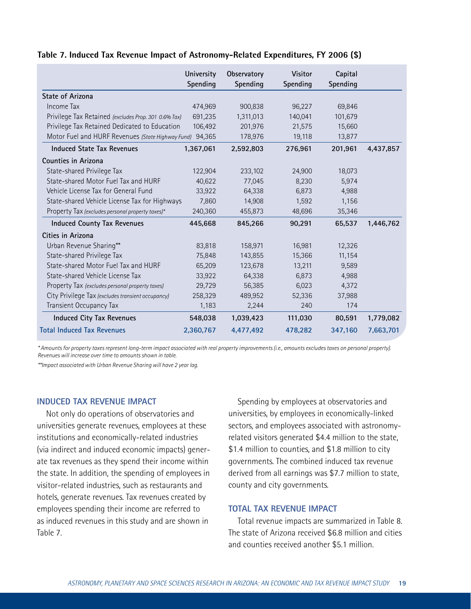#### **Table 7. Induced Tax Revenue Impact of Astronomy-Related Expenditures, FY 2006 (\$)**

|                                                          | University<br>Spending | Observatory<br>Spending | <b>Visitor</b><br>Spending | Capital<br>Spending |           |
|----------------------------------------------------------|------------------------|-------------------------|----------------------------|---------------------|-----------|
| <b>State of Arizona</b>                                  |                        |                         |                            |                     |           |
| Income Tax                                               | 474,969                | 900,838                 | 96,227                     | 69,846              |           |
| Privilege Tax Retained (excludes Prop. 301 0.6% Tax)     | 691,235                | 1,311,013               | 140,041                    | 101,679             |           |
| Privilege Tax Retained Dedicated to Education            | 106,492                | 201,976                 | 21,575                     | 15,660              |           |
| Motor Fuel and HURF Revenues (State Highway Fund) 94,365 |                        | 178,976                 | 19,118                     | 13,877              |           |
| Induced State Tax Revenues                               | 1,367,061              | 2,592,803               | 276,961                    | 201,961             | 4,437,857 |
| <b>Counties in Arizona</b>                               |                        |                         |                            |                     |           |
| State-shared Privilege Tax                               | 122,904                | 233,102                 | 24,900                     | 18,073              |           |
| State-shared Motor Fuel Tax and HURF                     | 40,622                 | 77,045                  | 8,230                      | 5,974               |           |
| Vehicle License Tax for General Fund                     | 33,922                 | 64,338                  | 6,873                      | 4,988               |           |
| State-shared Vehicle License Tax for Highways            | 7,860                  | 14,908                  | 1,592                      | 1,156               |           |
| Property Tax (excludes personal property taxes)*         | 240,360                | 455,873                 | 48,696                     | 35,346              |           |
| <b>Induced County Tax Revenues</b>                       | 445,668                | 845,266                 | 90,291                     | 65,537              | 1,446,762 |
| Cities in Arizona                                        |                        |                         |                            |                     |           |
| Urban Revenue Sharing**                                  | 83,818                 | 158,971                 | 16,981                     | 12,326              |           |
| State-shared Privilege Tax                               | 75,848                 | 143,855                 | 15,366                     | 11,154              |           |
| State-shared Motor Fuel Tax and HURF                     | 65,209                 | 123,678                 | 13,211                     | 9,589               |           |
| State-shared Vehicle License Tax                         | 33,922                 | 64,338                  | 6,873                      | 4,988               |           |
| Property Tax (excludes personal property taxes)          | 29,729                 | 56,385                  | 6,023                      | 4,372               |           |
| City Privilege Tax (excludes transient occupancy)        | 258,329                | 489,952                 | 52,336                     | 37,988              |           |
| Transient Occupancy Tax                                  | 1,183                  | 2,244                   | 240                        | 174                 |           |
| Induced City Tax Revenues                                | 548,038                | 1,039,423               | 111,030                    | 80,591              | 1,779,082 |
| <b>Total Induced Tax Revenues</b>                        | 2,360,767              | 4.477.492               | 478,282                    | 347,160             | 7,663,701 |

*\* Amounts for property taxes represent long-term impact associated with real property improvements (i.e., amounts excludes taxes on personal property). Revenues will increase over time to amounts shown in table.*

*\*\*Impact associated with Urban Revenue Sharing will have 2 year lag.*

### **INDUCED TAX REVENUE IMPACT**

Not only do operations of observatories and universities generate revenues, employees at these institutions and economically-related industries (via indirect and induced economic impacts) generate tax revenues as they spend their income within the state. In addition, the spending of employees in visitor-related industries, such as restaurants and hotels, generate revenues. Tax revenues created by employees spending their income are referred to as induced revenues in this study and are shown in Table 7.

Spending by employees at observatories and universities, by employees in economically-linked sectors, and employees associated with astronomyrelated visitors generated \$4.4 million to the state, \$1.4 million to counties, and \$1.8 million to city governments. The combined induced tax revenue derived from all earnings was \$7.7 million to state, county and city governments.

#### **TOTAL TAX REVENUE IMPACT**

Total revenue impacts are summarized in Table 8. The state of Arizona received \$6.8 million and cities and counties received another \$5.1 million.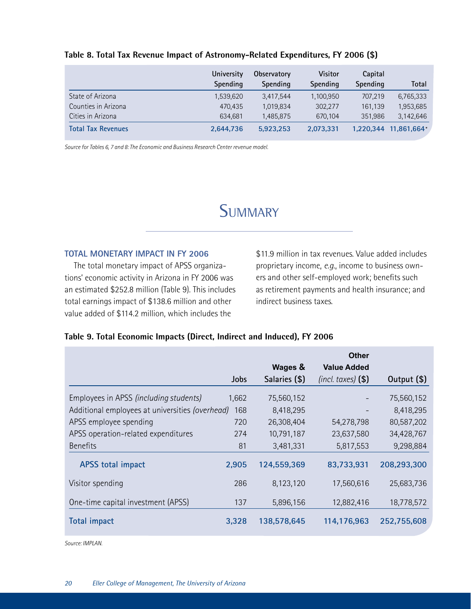|                           | University<br>Spending | Observatory<br><b>Spending</b> | <b>Visitor</b><br>Spending | Capital<br>Spending | Total       |
|---------------------------|------------------------|--------------------------------|----------------------------|---------------------|-------------|
| State of Arizona          | 1,539,620              | 3,417,544                      | 1,100,950                  | 707.219             | 6,765,333   |
| Counties in Arizona       | 470.435                | 1.019.834                      | 302.277                    | 161.139             | 1,953,685   |
| Cities in Arizona         | 634.681                | 1,485,875                      | 670.104                    | 351.986             | 3,142,646   |
| <b>Total Tax Revenues</b> | 2,644,736              | 5,923,253                      | 2,073,331                  | 1,220,344           | 11,861,664* |

#### **Table 8. Total Tax Revenue Impact of Astronomy-Related Expenditures, FY 2006 (\$)**

*Source for Tables 6, 7 and 8: The Economic and Business Research Center revenue model.*

# **SUMMARY**

### **TOTAL MONETARY IMPACT IN FY 2006**

The total monetary impact of APSS organizations' economic activity in Arizona in FY 2006 was an estimated \$252.8 million (Table 9). This includes total earnings impact of \$138.6 million and other value added of \$114.2 million, which includes the

\$11.9 million in tax revenues. Value added includes proprietary income, *e.g*., income to business owners and other self-employed work; benefits such as retirement payments and health insurance; and indirect business taxes.

### **Table 9. Total Economic Impacts (Direct, Indirect and Induced), FY 2006**

|                                                 |             | Wages &       | Other<br><b>Value Added</b> |             |
|-------------------------------------------------|-------------|---------------|-----------------------------|-------------|
|                                                 | <b>Jobs</b> | Salaries (\$) | $(incl. taxes)$ $(\$)$      | Output (\$) |
| Employees in APSS (including students)          | 1,662       | 75,560,152    |                             | 75,560,152  |
| Additional employees at universities (overhead) | 168         | 8,418,295     |                             | 8,418,295   |
| APSS employee spending                          | 720         | 26,308,404    | 54,278,798                  | 80,587,202  |
| APSS operation-related expenditures             | 274         | 10,791,187    | 23,637,580                  | 34,428,767  |
| <b>Benefits</b>                                 | 81          | 3,481,331     | 5,817,553                   | 9,298,884   |
| <b>APSS total impact</b>                        | 2,905       | 124,559,369   | 83,733,931                  | 208,293,300 |
| Visitor spending                                | 286         | 8,123,120     | 17,560,616                  | 25,683,736  |
| One-time capital investment (APSS)              | 137         | 5,896,156     | 12,882,416                  | 18,778,572  |
| <b>Total impact</b>                             | 3,328       | 138,578,645   | 114,176,963                 | 252,755,608 |

*Source: IMPLAN.*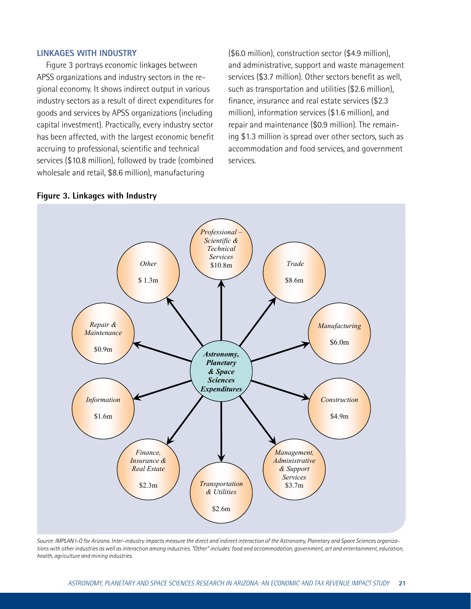#### **LINKAGES WITH INDUSTRY**

Figure 3 portrays economic linkages between APSS organizations and industry sectors in the regional economy. It shows indirect output in various industry sectors as a result of direct expenditures for goods and services by APSS organizations (including capital investment). Practically, every industry sector has been affected, with the largest economic benefit accruing to professional, scientific and technical services (\$10.8 million), followed by trade (combined wholesale and retail, \$8.6 million), manufacturing

(\$6.0 million), construction sector (\$4.9 million), and administrative, support and waste management services (\$3.7 million). Other sectors benefit as well, such as transportation and utilities (\$2.6 million), finance, insurance and real estate services (\$2.3 million), information services (\$1.6 million), and repair and maintenance (\$0.9 million). The remaining \$1.3 million is spread over other sectors, such as accommodation and food services, and government services.



#### **Figure 3. Linkages with Industry**

*Source: IMPLAN I-O for Arizona. Inter-industry impacts measure the direct and indirect interaction of the Astronomy, Planetary and Space Sciences organizations with other industries as well as interaction among industries. "Other" includes: food and accommodation, government, art and entertainment, education, health, agriculture and mining industries.*

accommodation, government, art and entertainment, education, health, agriculture and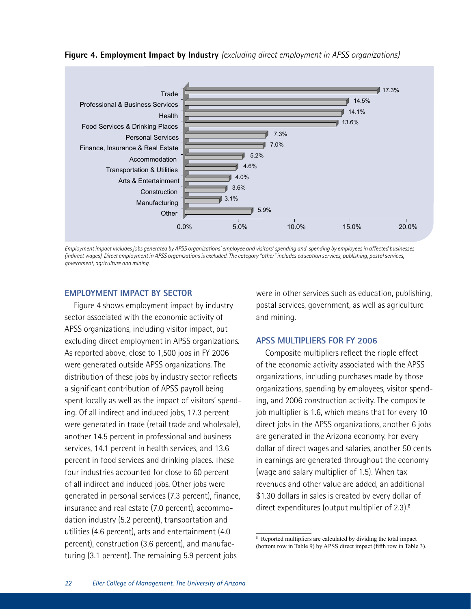



*Employment impact includes jobs generated by APSS organizations' employee and visitors' spending and spending by employees in affected businesses (indirect wages). Direct employment in APSS organizations is excluded. The category "other" includes education services, publishing, postal services, government, agriculture and mining.*

### **EMPLOYMENT IMPACT BY SECTOR**

Figure 4 shows employment impact by industry and postal services, government, as we sector associated with the economic activity of APSS organizations, including visitor impact, but excluding direct employment in APSS organizations. As reported above, close to 1,500 jobs in FY 2006 were generated outside APSS organizations. The distribution of these jobs by industry sector reflects a significant contribution of APSS payroll being spent locally as well as the impact of visitors' spending. Of all indirect and induced jobs, 17.3 percent were generated in trade (retail trade and wholesale), another 14.5 percent in professional and business services, 14.1 percent in health services, and 13.6 percent in food services and drinking places. These four industries accounted for close to 60 percent of all indirect and induced jobs. Other jobs were generated in personal services (7.3 percent), finance, insurance and real estate (7.0 percent), accommodation industry (5.2 percent), transportation and utilities (4.6 percent), arts and entertainment (4.0 percent), construction (3.6 percent), and manufacturing (3.1 percent). The remaining 5.9 percent jobs

MPLOYMENT IMPACT BY SECTOR were in other services such as education, publishing, postal services, government, as well as agriculture and mining.

## **APSS MULTIPLIERS FOR FY 2006**

Composite multipliers reflect the ripple effect of the economic activity associated with the APSS organizations, including purchases made by those organizations, spending by employees, visitor spending, and 2006 construction activity. The composite job multiplier is 1.6, which means that for every 10 direct jobs in the APSS organizations, another 6 jobs are generated in the Arizona economy. For every dollar of direct wages and salaries, another 50 cents in earnings are generated throughout the economy (wage and salary multiplier of 1.5). When tax revenues and other value are added, an additional \$1.30 dollars in sales is created by every dollar of direct expenditures (output multiplier of 2.3).<sup>8</sup>

<sup>8</sup> Reported multipliers are calculated by dividing the total impact (bottom row in Table 9) by APSS direct impact (fifth row in Table 3).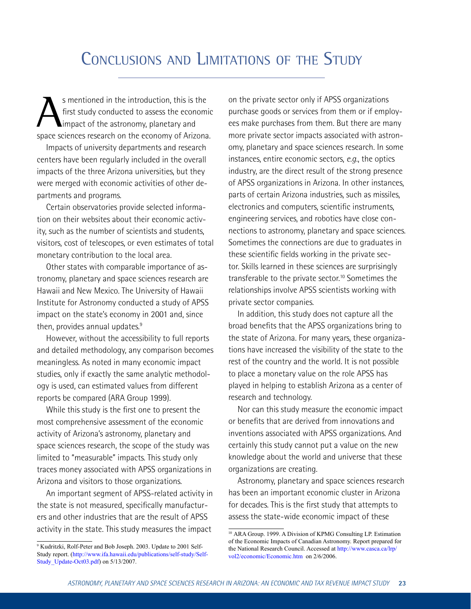# CONCLUSIONS AND LIMITATIONS OF THE STUDY

S mentioned in the introduction, this is the<br>first study conducted to assess the economic<br>impact of the astronomy, planetary and<br>space sejances research on the economy of Arizona first study conducted to assess the economic impact of the astronomy, planetary and space sciences research on the economy of Arizona.

Impacts of university departments and research centers have been regularly included in the overall impacts of the three Arizona universities, but they were merged with economic activities of other departments and programs.

Certain observatories provide selected information on their websites about their economic activity, such as the number of scientists and students, visitors, cost of telescopes, or even estimates of total monetary contribution to the local area.

Other states with comparable importance of astronomy, planetary and space sciences research are Hawaii and New Mexico. The University of Hawaii Institute for Astronomy conducted a study of APSS impact on the state's economy in 2001 and, since then, provides annual updates.<sup>9</sup>

However, without the accessibility to full reports and detailed methodology, any comparison becomes meaningless. As noted in many economic impact studies, only if exactly the same analytic methodology is used, can estimated values from different reports be compared (ARA Group 1999).

While this study is the first one to present the most comprehensive assessment of the economic activity of Arizona's astronomy, planetary and space sciences research, the scope of the study was limited to "measurable" impacts. This study only traces money associated with APSS organizations in Arizona and visitors to those organizations.

An important segment of APSS-related activity in the state is not measured, specifically manufacturers and other industries that are the result of APSS activity in the state. This study measures the impact

on the private sector only if APSS organizations purchase goods or services from them or if employees make purchases from them. But there are many more private sector impacts associated with astronomy, planetary and space sciences research. In some instances, entire economic sectors, *e.g.*, the optics industry, are the direct result of the strong presence of APSS organizations in Arizona. In other instances, parts of certain Arizona industries, such as missiles, electronics and computers, scientific instruments, engineering services, and robotics have close connections to astronomy, planetary and space sciences. Sometimes the connections are due to graduates in these scientific fields working in the private sector. Skills learned in these sciences are surprisingly transferable to the private sector.<sup>10</sup> Sometimes the relationships involve APSS scientists working with private sector companies.

In addition, this study does not capture all the broad benefits that the APSS organizations bring to the state of Arizona. For many years, these organizations have increased the visibility of the state to the rest of the country and the world. It is not possible to place a monetary value on the role APSS has played in helping to establish Arizona as a center of research and technology.

Nor can this study measure the economic impact or benefits that are derived from innovations and inventions associated with APSS organizations. And certainly this study cannot put a value on the new knowledge about the world and universe that these organizations are creating.

Astronomy, planetary and space sciences research has been an important economic cluster in Arizona for decades. This is the first study that attempts to assess the state-wide economic impact of these

<sup>9</sup> Kudritzki, Rolf-Peter and Bob Joseph. 2003. Update to 2001 Self-Study report. (http://www.ifa.hawaii.edu/publications/self-study/Self-Study Update-Oct03.pdf) on 5/13/2007.

<sup>10</sup> ARA Group. 1999. A Division of KPMG Consulting LP. Estimation of the Economic Impacts of Canadian Astronomy. Report prepared for the National Research Council. Accessed at http://www.casca.ca/lrp/ vol2/economic/Economic.htm on 2/6/2006.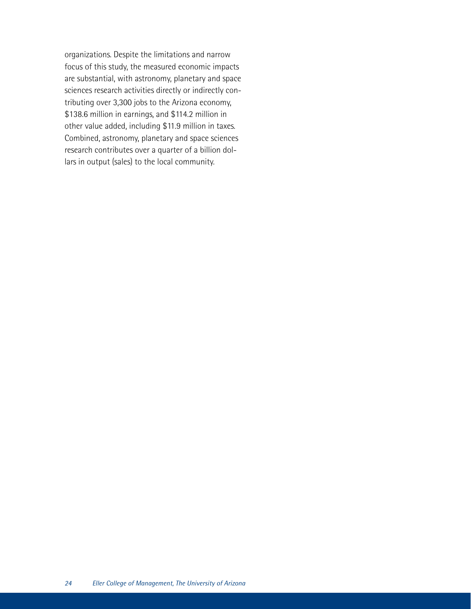organizations. Despite the limitations and narrow focus of this study, the measured economic impacts are substantial, with astronomy, planetary and space sciences research activities directly or indirectly contributing over 3,300 jobs to the Arizona economy, \$138.6 million in earnings, and \$114.2 million in other value added, including \$11.9 million in taxes. Combined, astronomy, planetary and space sciences research contributes over a quarter of a billion dollars in output (sales) to the local community.